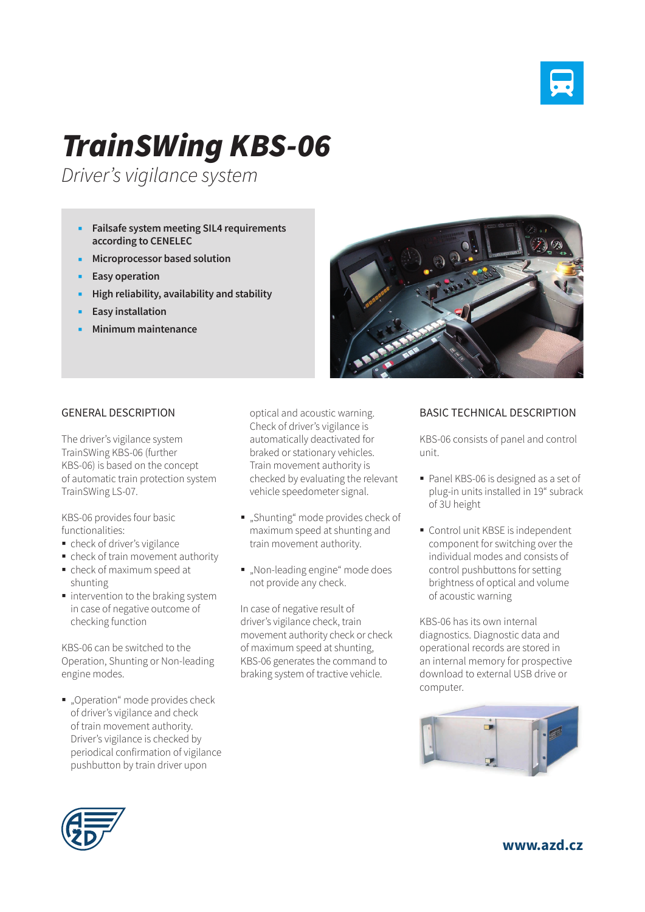

## *TrainSWing KBS-06*

*Driver's vigilance system*

- **Failsafe system meeting SIL4 requirements according to CENELEC**
- **Microprocessor based solution**
- **Easy operation**
- **High reliability, availability and stability**
- **Easy installation**
- **Minimum maintenance**



## GENERAL DESCRIPTION

The driver's vigilance system TrainSWing KBS-06 (further KBS-06) is based on the concept of automatic train protection system TrainSWing LS-07.

KBS-06 provides four basic functionalities:

- check of driver's vigilance
- check of train movement authority
- check of maximum speed at shunting
- $\blacksquare$  intervention to the braking system in case of negative outcome of checking function

KBS-06 can be switched to the Operation, Shunting or Non-leading engine modes.

".Operation" mode provides check of driver's vigilance and check of train movement authority. Driver's vigilance is checked by periodical confirmation of vigilance pushbutton by train driver upon

optical and acoustic warning. Check of driver's vigilance is automatically deactivated for braked or stationary vehicles. Train movement authority is checked by evaluating the relevant vehicle speedometer signal.

- "Shunting" mode provides check of maximum speed at shunting and train movement authority.
- . Non-leading engine" mode does not provide any check.

In case of negative result of driver's vigilance check, train movement authority check or check of maximum speed at shunting, KBS-06 generates the command to braking system of tractive vehicle.

## BASIC TECHNICAL DESCRIPTION

KBS-06 consists of panel and control unit.

- Panel KBS-06 is designed as a set of plug-in units installed in 19" subrack of 3U height
- Control unit KBSE is independent component for switching over the individual modes and consists of control pushbuttons for setting brightness of optical and volume of acoustic warning

KBS-06 has its own internal diagnostics. Diagnostic data and operational records are stored in an internal memory for prospective download to external USB drive or computer.





**www.azd.cz**